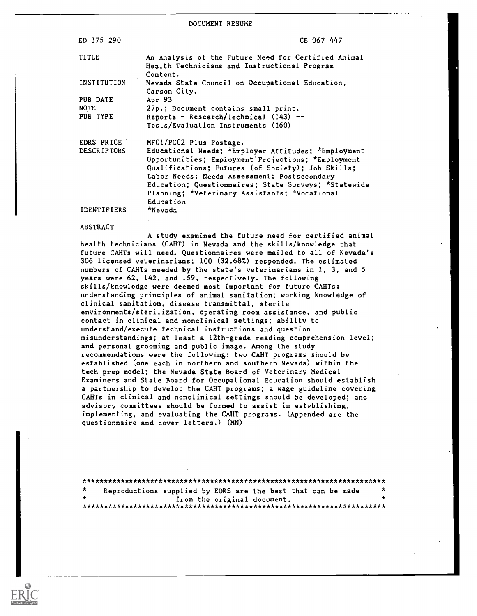DOCUMENT RESUME

| ED 375 290         | CE 067 447                                                                                                      |
|--------------------|-----------------------------------------------------------------------------------------------------------------|
| TITLE              | An Analysis of the Future Need for Certified Animal<br>Health Technicians and Instructional Program<br>Content. |
| INSTITUTION        | Nevada State Council on Occupational Education,<br>Carson City.                                                 |
| PUB DATE           | Apr 93                                                                                                          |
| NOTE               | 27p.; Document contains small print.                                                                            |
| PUB TYPE           | Reports - Research/Technical $(143)$ --                                                                         |
|                    | Tests/Evaluation Instruments (160)                                                                              |
| EDRS PRICE         | MF01/PC02 Plus Postage.                                                                                         |
| <b>DESCRIPTORS</b> | Educational Needs; *Employer Attitudes; *Employment                                                             |
|                    | Opportunities; Employment Projections; *Employment                                                              |
|                    | Qualifications; Futures (of Society); Job Skills;                                                               |
|                    | Labor Needs; Needs Assessment; Postsecondary                                                                    |
|                    | Education; Questionnaires; State Surveys; *Statewide                                                            |
|                    | Planning; *Veterinary Assistants; *Vocational                                                                   |
|                    | Education                                                                                                       |
| <b>IDENTIFIERS</b> | *Nevada                                                                                                         |

# ABSTRACT

A study examined the future need for certified animal health technicians (CART) in Nevada and the skills/knowledge that future CAHTs will need. Questionnaires were mailed to all of Nevada's 306 licensed veterinarians; 100 (32.68%) responded. The estimated numbers of CAHTs needed by the state's veterinarians in 1, 3, and 5 years were 62, 142, and 159, respectively. The following skills/knowledge were deemed most important for future CAHTs: understanding principles of animal sanitation; working knowledge of clinical sanitation, disease transmittal, sterile environments/sterilization, operating room assistance, and public contact in clinical and nonclinical settings; ability to understand/execute technical instructions and question misunderstandings; at least a 12th-grade reading comprehension level; and personal grooming and public image. Among the study recommendations were the following: two CAHT programs should be established (one each in northern and southern Nevada) within the tech prep model; the Nevada State Board of Veterinary Medical Examiners and State Board for Occupational Education should establish a partnership to develop the CART programs; a wage guideline covering CAHTs in clinical and nonclinical settings should be developed; and advisory committees should be formed to assist in establishing, implementing, and evaluating the CART programs. (Appended are the questionnaire and cover letters.) (MN)

| $\mathbf{x}$ | Reproductions supplied by EDRS are the best that can be made |                             |  | $\star$ |
|--------------|--------------------------------------------------------------|-----------------------------|--|---------|
|              |                                                              | from the original document. |  |         |
|              |                                                              |                             |  |         |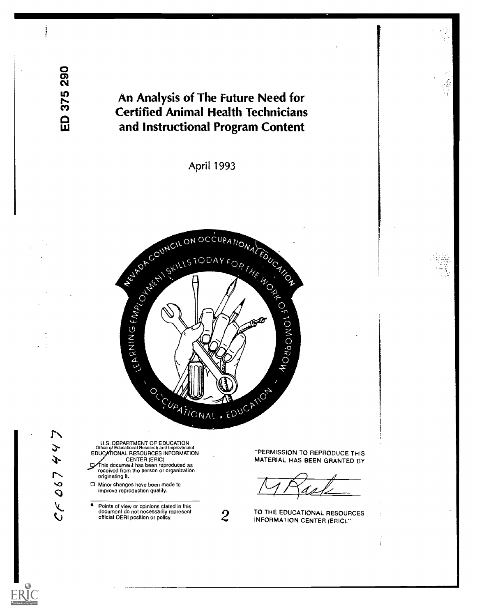ED 375 290

# An Analysis of The Future Need for Certified Animal Health Technicians and Instructional Program Content

April 1993



 $\mathcal{L}$ J Ý.  $067$  $\zeta$ 

U.S. DEPARTMENT OF EDUCATION<br>Office of Educational Research and Improvement<br>EDUCATIONAL RESOURCES INFORMATION CENTER (ERIC) his document has been reproduced as received from the person or organization originating it.

Minor changes have been made to improve reproduction quality.

 $\bullet$ Points of view or opinions stated in this document do not necessarily represent official OERI position or policy.

"PERMISSION TO REPRODUCE THIS MATERIAL HAS BEEN GRANTED BY

2 TO THE EDUCATIONAL RESOUR<br>INFORMATION CENTER (ERIC)." TO THE EDUCATIONAL RESOURCES

÷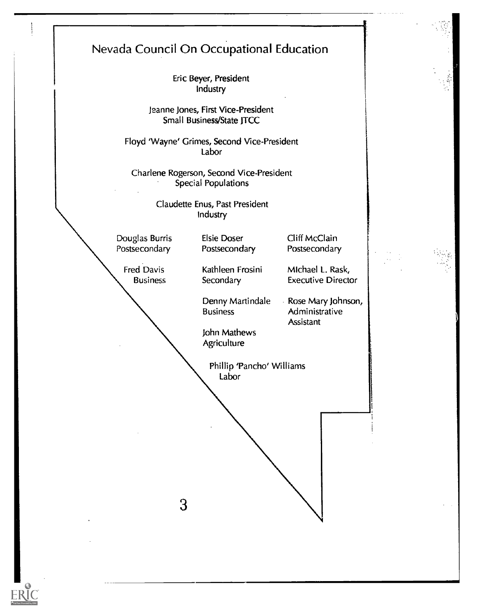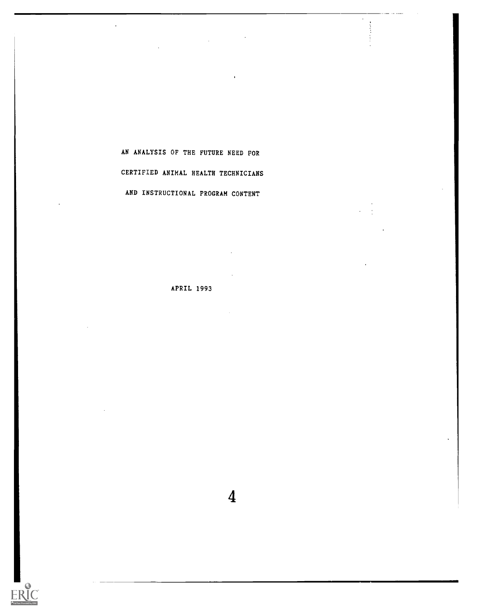AN ANALYSIS OF THE FUTURE NEED FOR CERTIFIED ANIMAL HEALTH TECHNICIANS AND INSTRUCTIONAL PROGRAM CONTENT

APRIL 1993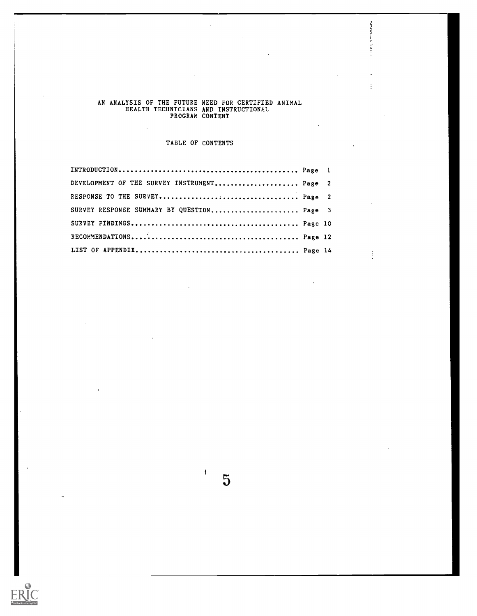#### AN ANALYSIS OF THE FUTURE NEED FOR CERTIFIED ANIMAL HEALTH TECHNICIANS AND INSTRUCTIONAL PROGRAM CONTENT

 $\bar{\mathcal{A}}$ 

 $\sim 10^7$ 

 $\mathbf{r}$ 

**CONTRACTOR** 

 $\vdots$ 

 $\vdots$ 

 $\mathcal{L}$ 

# TABLE OF CONTENTS

| DEVELOPMENT OF THE SURVEY INSTRUMENT Page 2 |  |
|---------------------------------------------|--|
|                                             |  |
| SURVEY RESPONSE SUMMARY BY QUESTION Page 3  |  |
|                                             |  |
|                                             |  |
|                                             |  |

 $\overline{\phantom{a}}$ 

5

 $\mathbf{i}$ 

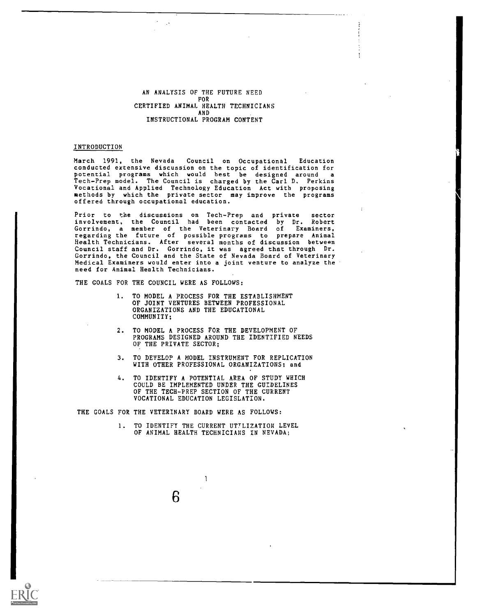#### AN ANALYSIS OF THE FUTURE NEED FOR CERTIFIED ANIMAL HEALTH TECHNICIANS AND INSTRUCTIONAL PROGRAM CONTENT

### INTRODUCTION

March 1991, the Nevada Council on Occupational Education conducted extensive discussion on the topic of identification for<br>potential programs which would best be designed around a potential programs which would best be designed around a<br>Tech-Prep model. The Council is charged by the Carl D. Perkins Vocational and Applied Technology Education Act with proposing methods by which the private sector may improve the programs offered through occupational education.

Prior to the discussions on Tech-Prep and private sector involvement, the Council had been contacted by Dr. Robert Gorrindo, a member of the Veterinary Board of Examiners, regarding the future of possible programs to prepare Animal Health Technicians. After several months of discussion between Council staff and Dr. Gorrindo, it was agreed that through Dr. Gorrindo, the Council and the State of Nevada Board of Veterinary Medical Examiners would enter into a joint venture to analyze the need for Animal Health Technicians.

THE GOALS FOR THE COUNCIL WERE AS FOLLOWS:

- 1. TO MODEL A PROCESS FOR THE ESTABLISHMENT OF JOINT VENTURES BETWEEN PROFESSIONAL ORGANIZATIONS AND THE EDUCATIONAL COMMUNITY;
- 2. TO MODEL A PROCESS FOR THE DEVELOPMENT OF PROGRAMS DESIGNED AROUND THE IDENTIFIED NEEDS OF THE PRIVATE SECTOR:
- 3. TO DEVELOP A MODEL INSTRUMENT FOR REPLICATION WITH OTHER PROFESSIONAL ORGANIZATIONS; and
- 4. TO IDENTIFY A POTENTIAL AREA OF STUDY WHICH COULD BE IMPLEMENTED UNDER THE GUIDELINES OF THE TECH-PREP SECTION OF THE CURRENT VOCATIONAL EDUCATION LEGISLATION.

THE GOALS FOR THE VETERINARY BOARD WERE AS FOLLOWS:

6

TO IDENTIFY THE CURRENT UTTLIZATION LEVEL OF ANIMAL HEALTH TECHNICIANS IN NEVADA;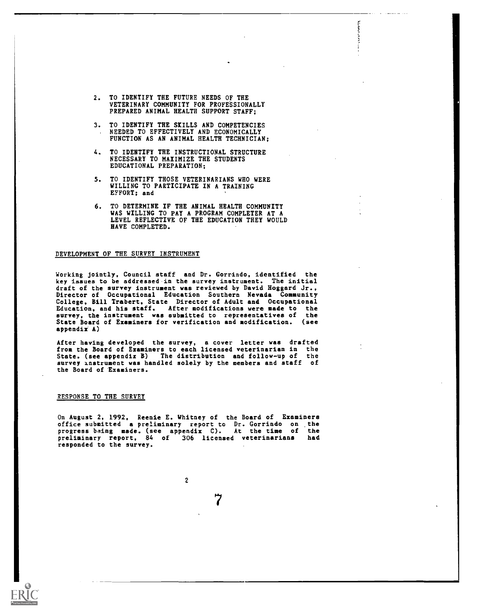2. TO IDENTIFY THE FUTURE NEEDS OF THE VETERINARY COMMUNITY FOR PROFESSIONALLY PREPARED ANIMAL HEALTH SUPPORT STAFF;

**Bandar** 

- 3. TO IDENTIFY THE SKILLS AND COMPETENCIES NEEDED TO EFFECTIVELY AND ECONOMICALLY FUNCTION AS AN ANIMAL HEALTH TECHNICIAN;
- 4. TO IDENTIFY THE INSTRUCTIONAL STRUCTURE NECESSARY TO MAXIMIZE THE STUDENTS EDUCATIONAL PREPARATION;
- 5. TO IDENTIFY THOSE VETERINARIANS WHO WERE WILLING TO PARTICIPATE IN A TRAINING EFFORT; and
- 6. TO DETERMINE IF THE ANIMAL HEALTH COMMUNITY WAS WILLING TO PAY A PROGRAM COMPLETER AT A LEVEL REFLECTIVE OF THE EDUCATION THEY WOULD HAVE COMPLETED.

# DEVELOPMENT OF THE SURVEY INSTRUMENT

Working jointly, Council staff and Dr. Gorrindo, identified the key issues to be addressed in the survey instrument. The initial draft of the survey instrument was reviewed by David Hoggard Jr., Director of Occupational Education Southern Nevada Community College, Bill Trabert. State Director of Adult and Occupational Education, and his staff. After modifications were made to the survey, the instrument was submitted to representatives of the State Board of Examiners for verification and modification. (see appendix A)

After having developed the survey, a cover letter was drafted from the Board of Examiners to each licensed veterinarian in the State. (see appendix B) The distribution and follow-up of the survey instrument was handled solely by the members and staff of the Board of Examiners.

# RESPONSE TO THE SURVEY

On August 2, 1992, Reenie E. Whitney of the Board of Examiners office submitted a preliminary report to Dr. Gorrindo on the progress being made. (see appendix C). At the time of the preliminary report, 84 of 306 licensed veterinarians had responded to the survey.

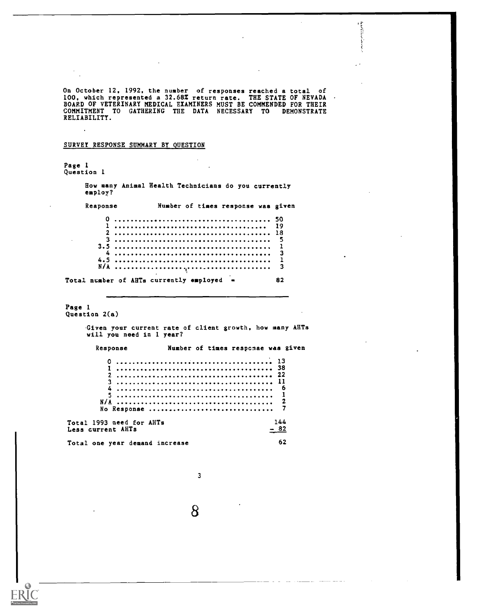On October 12, 1992, the number of responses reached a total of 100, which represented a 32.68Z return rate. THE STATE OF NEVADA BOARD OF VETERINARY MEDICAL EXAMINERS RUST BE COMMENDED FOR THEIR COMMITMENT TO GATHERING THE DATA NECESSARY TO DEMONSTRATE RELIABILITY.

# SURVEY RESPONSE SUMMARY BY QUESTION

Page 1 Question 1 How many Animal Health Technicians do you currently employ? Response Number of times response was given 0 50 1 19 2 18 3 5 3.5 1 4 3 4.5 1 N/A 3 Total number of AHTs currently employed  $\equiv$  82 Page 1 Question 2(a) Given your current rate of client growth, how many AHTs will you need in 1 year? Response Number of times respcnse was given 0 13 1 38 2 22 3 11 4 6 5 1 N/A 2 No Response ................................ Total 1993 need for AHTs  $144$ <br>Less current AHTs  $-82$ Less current AHTs Total one year demand increase 62

3

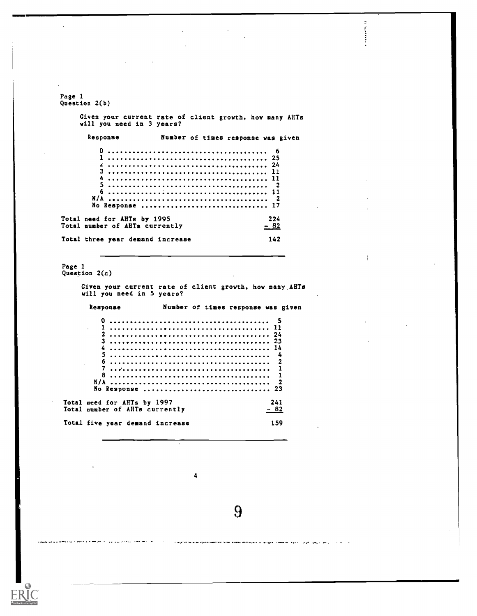Page 1 Question 2(b) Given your current rate of client growth, how many AHTs will you need in 3 years? Response Number of times response was given 0 6 <sup>1</sup> 25 24 3 11 4 11 5 2 6 11 N/A 2 No Response 17 Total need for AHTs by 1995 224 Total number of AHTs currently  $-82$ Total three year demand increase 142 Page 1 Question 2(c) Given your current rate of client growth, how many.AHTs will you need in 5 years? Response Number of times response was given 0 5 1 11 2 24 3 23 4 14 5 4 6 2 7 1 8 1 N/A 2

F

 $\ddot{\phantom{a}}$ 

No Response 23

4

Total need for AHTs by 1997 241 Total number of AHTs currently  $-82$ 

Total five year demand increase 159

أرابط الأيهمل التزاور الأشوة الماستثنائا مهردوا بتراجع والجامع يتعامد تعديد متحما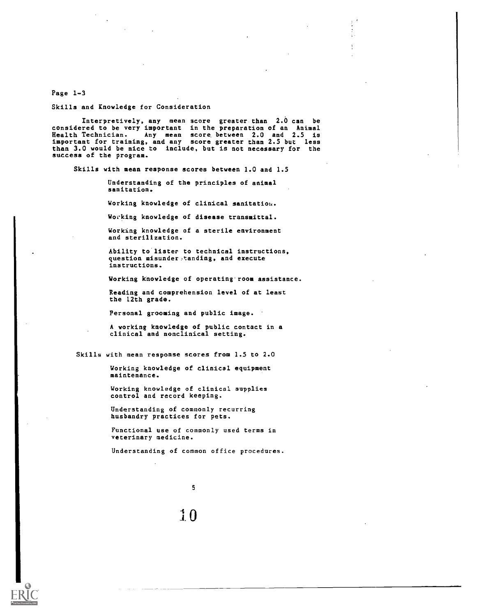Page 1-3

Skills and Knowledge for Consideration

Interpretively, any mean score greater. than 2.0 can be considered to be very important in the preparation of an Animal Health Technician. Any mean score between 2.0 and 2.5 is important for training, and any score greater than 2.5 but less than 3.0 would be nice to include, but is not necessary for the success of the program.

Skills with mean response scores between 1.0 and 1.5

Understanding of the principles of animal sanitation.

Working knowledge of clinical sanitation.

Working knowledge of disease transmittal.

Working knowledge of a sterile environment and sterilization.

Ability to lister to technical instructions, question misunderstanding, and execute instructions.

Working knowledge of operating room assistance.

Reading and comprehension level of at least the 12th grade.

Personal grooming and public image.

A working knowledge of public contact in a clinical and nonclinical setting.

Skills with mean response scores from 1.5 to 2.0

Working knowledge of clinical equipment maintenance.

Working knowledge of clinical supplies control and record keeping.

Understanding of commonly recurring husbandry practices for pets.

Functional use of commonly used terms in veterinary medicine.

Understanding of common office procedures.

5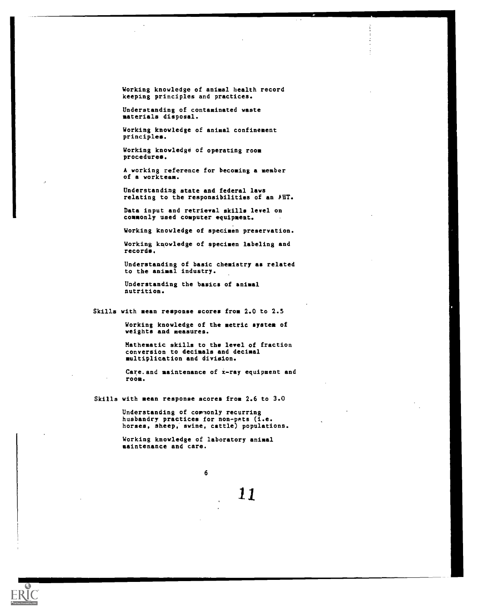Working knowledge of animal health record keeping principles and practices.

Understanding of contaminated waste materials disposal.

Working knowledge of animal confinement principles.

Working knowledge of operating room procedures.

A working reference for becoming a member of a vorkteam.

Understanding state and federal laws relating to the responsibilities of an AUT.

Data input and retrieval skills level on commonly used computer equipment.

Working knowledge of specimen preservation.

Working knowledge of specimen labeling and records.

Understanding of basic chemistry as related to the animal industry.

Understanding the basics of animal nutrition.

Skills with mean response scores from 2.0 to 2.5

Working knowledge of the metric system of weights and measures.

Mathematic skills to the level of fraction conversion to decimals and decimal multiplication and division.

Care. and maintenance of x-ray equipment and room.

Skills with mean response scores from 2.6 to 3.0

Understanding of commonly recurring husbandry practices for non-pets (i.e. horses, sheep, swine, cattle) populations.

Working knowledge of laboratory animal maintenance and care.



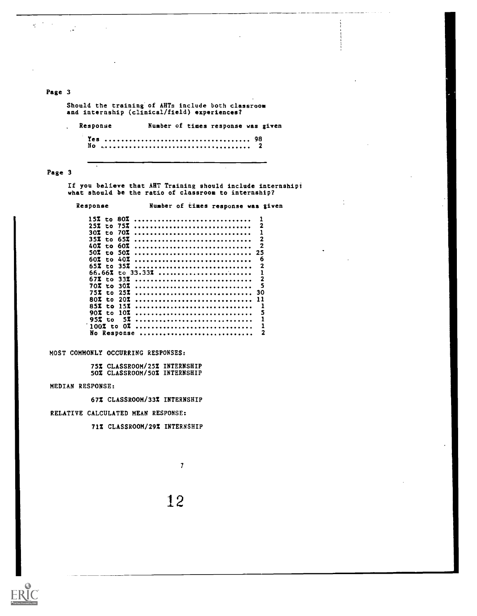# Page 3

 $\ddot{\phantom{a}}$ 

 $\mathcal{L} = \frac{1}{2} \sum_{i=1}^{n} \frac{1}{2} \sum_{i=1}^{n} \frac{1}{2} \sum_{i=1}^{n} \frac{1}{2} \sum_{i=1}^{n} \frac{1}{2} \sum_{i=1}^{n} \frac{1}{2} \sum_{i=1}^{n} \frac{1}{2} \sum_{i=1}^{n} \frac{1}{2} \sum_{i=1}^{n} \frac{1}{2} \sum_{i=1}^{n} \frac{1}{2} \sum_{i=1}^{n} \frac{1}{2} \sum_{i=1}^{n} \frac{1}{2} \sum_{i=1}^{n} \frac{1}{2} \sum$ 

 $\frac{1}{\sqrt{2}}$  ,  $\frac{1}{\sqrt{2}}$  ,  $\frac{1}{\sqrt{2}}$  ,  $\frac{1}{\sqrt{2}}$ 

Should the training of AHTs include both classroom and internship (clinical/field) experiences?

Response Number of times response was given Yes 98 No 2

<u> Indonesia de la Pinan</u>

# Page 3

If you believe that AHT Training should include internship; what should be the ratio of classroom to internship?

Response Number of times response was given

| 1 S Z      | to. | 80Z        |                  |   |
|------------|-----|------------|------------------|---|
| 25Z        |     | to 75%     |                  | 2 |
| 30Z        | to. | 70Z        |                  |   |
| 35X        | to. | 65Z        |                  | 2 |
| 40Z        |     | to 60Z     |                  | 2 |
| 50% to 50% |     |            |                  |   |
|            |     |            |                  |   |
| 60Z.       | to. | 40Z        |                  | 6 |
| 65X to     |     | 35Z        |                  | 2 |
|            |     |            | 66.66% to 33.33% |   |
|            |     | 67X to 33X |                  |   |
| 70Z to     |     | 30Z        |                  | 5 |
|            |     | 25Z        |                  |   |
| 75% to     |     |            |                  |   |
| 80X to     |     | 20Z        |                  |   |
| 85X to     |     | 152        |                  |   |
| 90I to     |     | 10Z        |                  | s |
| 95X to     |     | 57         |                  | 1 |
|            |     |            |                  |   |
| $100\%$ to |     | -0Z        |                  | 1 |
|            |     |            | No Response      | 2 |

MOST COMMONLY OCCURRING RESPONSES:

75% CLASSROOM/25% INTERNSHIP 50% CLASSROOM/50% INTERNSHIP

MEDIAN RESPONSE:

67% CLASSROOM/33% INTERNSHIP

RELATIVE CALCULATED MEAN RESPONSE:

71% CLASSROOM/29% INTERNSHIP

7

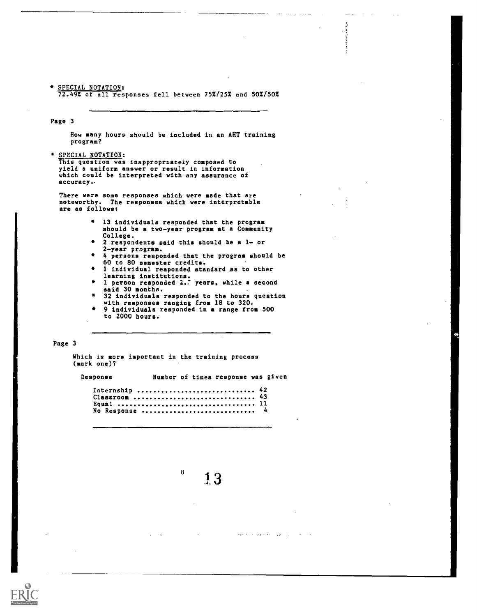\* SPECIAL NOTATION:  $72.49\%$  of all responses fell between  $75\frac{7}{25}\frac{25\%}{250}\$  and  $50\frac{7}{50}\frac{7}{25}\%$ 

Page 3

How many hours should be included in an AHT training program?

\* SPECIAL NOTATION:

This question was inappropriately composed to yield a uniform answer or result in information which could be interpreted with any assurance of accuracy,

There were some responses which were made that are noteworthy. The responses which were interpretable are as follows:

- 13 individuals responded that the program should be a two-year program at a Community College.
- 2 respondents said this should be a 1- or 2-year program.
- 4 persons responded that the program should be 60 to 80 semester credits.
- 1 individual responded standard as to other learning institutions.
- 1 person responded 2.' years. while a second said 30 months.
- 32 individuals responded to the hours question with responses ranging from 18 to 320.
- 9 individuals responded in a range from 500 to 2000 hours.

### Page 3

Which is more important in the training process (mark one)?

Response Number of times response was given

Internship ............................... 42 Classroom 43 Equal 11 No Response ............................... 4

 $^{8}$  13

 $\zeta_{\mathbf{k}}\omega_{\mathbf{k}}(t)$  ,  $\zeta_{\mathbf{k}}$  ,  $\zeta_{\mathbf{k}}$  ,  $\zeta_{\mathbf{k}}$ 

 $\sim 10^{-1}$ 

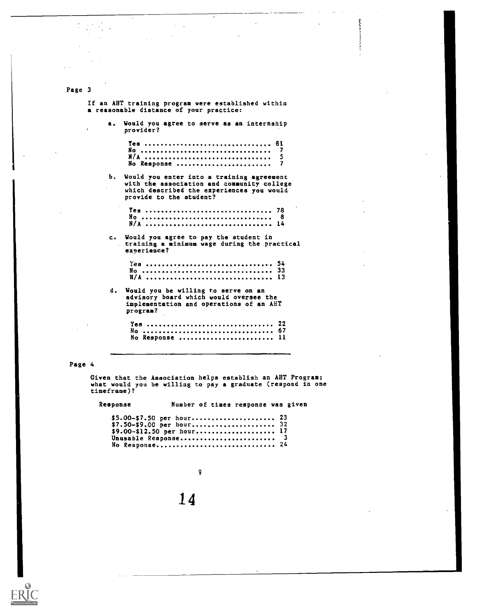If an ANT training program were established within a reasonable distance of your practice:

 $\bar{z}$ 

a. Would you agree to serve as an internship provider?

| $I$ es  81  |  |
|-------------|--|
| No          |  |
|             |  |
| No Response |  |

**Colombia** et al.

b. Would you enter into a training agreement with the association and community college which described the experiences you would provide to the student?

c. Would you agree to pay the student in training a minimum wage during the practical experience?

d. Would you be willing to serve on an advisory board which would oversee the implementation and operations of an ANT program?

| No Response  11 |  |  |  |  |  |  |  |  |  |  |  |  |  |  |  |  |  |  |
|-----------------|--|--|--|--|--|--|--|--|--|--|--|--|--|--|--|--|--|--|

#### Page 4

Given that the Association helps establish an AHT Program; what would you be willing to pay a graduate (respond in one time frame)?

Response Number of times response was given

| \$9.00-\$12.50 per hour 17 |  |
|----------------------------|--|
| Unusable Response 3        |  |
| No Response 24             |  |

9

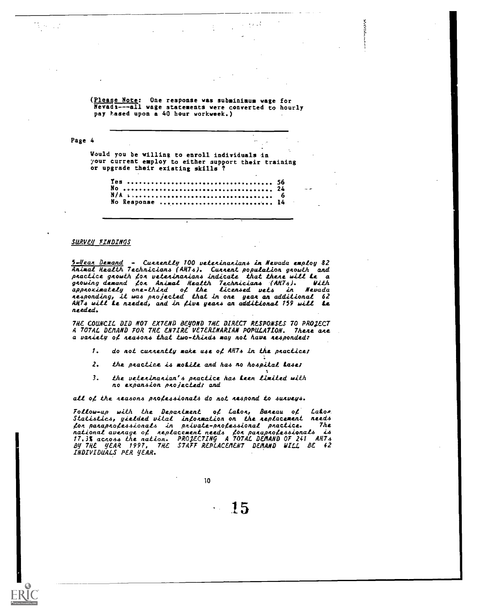(Please Note: One response was subminimum wage for Nevada---all wage statements were converted to hourly pay Lased upon a 40 hour workweek.)

**TANKS** 

Page 4 Would you be willing to enroll individuals in your current employ to either support their training or upgrade their existing skills ?  $Yes.$ 

|  |                 | $\sim$ |
|--|-----------------|--------|
|  |                 |        |
|  | No Response  14 |        |

#### SURVEY FINDINQS

 $\mathcal{L}_{\mathcal{A}}$ 

<u>5-Year Demand</u> - Currently 100 veterinarians **in Ne**vada employ 82 Animal Health Technicians (AHT4). Current population growth and practice growth for veterinarians indicate that there will **k**e a gnowing demand Con. Animal Health Technicians (ARTh). With approximately one-third of **the l**ice**nsed vets in Nev**ada nehponding, it wan pnojected that in one yean an additional 62 AHTs will **Le** nzeded, and in five years an additional 159 will **Le** needed.

7de COUNCIL DID NO7 EXTEND BEYOND THE DIRECT RESPONSES 70 PROJECT A TOTAL DEMAND FOR THE ENTIRE VETERINARIAN POPULATION. There are a vaniety of neasons that two-thinds may not have nesponded:

- $1.$  do not cunnently make use of AHTs in the practice;
- 2. the practice is motile and has no hospital lase;
- 3. the utteninanian'h pnactice haa teen limited with no expansion pnojectedt and

all of the reasons professionals do not respond to surveys.

Follow-up with the Department of Lator, Bureau of Lator Statistics, yielded vital information on the replacement needs 4on panapno4ehhionalh in pnivate-pno4ehhional pnactice. The national avenage of neplacement needs fon panapnofessionals is 17.3% across the nation. PROJECTING A TOTAL DEMAND OF 241 AHTs By THE YEAR 1997, TRE STAFF REPLACEMENT DEMAND MILL BE 42 INDIVIDUALS PER YEAR.

10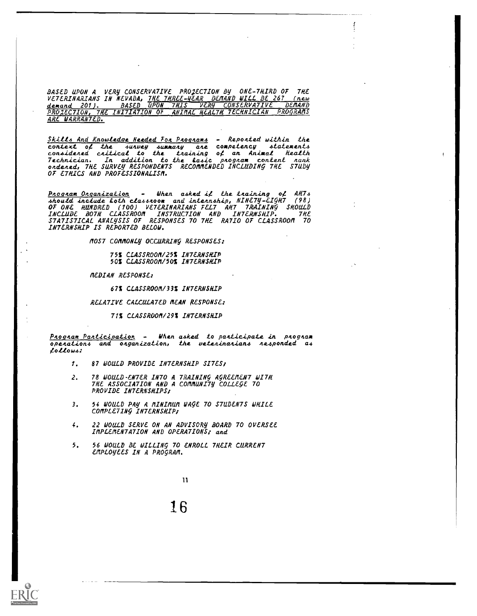BASED UPON A VERY CONSERVATIVE PROJECTION BY ONE-THIRD OF THE<br>VETERINARIANS IN NEVADA, <u>THE THREE-YEAR DEMAND WILL BE 267 (new</u> demand 201). BASED UPON THIS VERY CONSERVATIVE DEMAND PRO2EC7ION, THE INITIATION OF ANIMAL REALM TECHNICIAN PROGRAMS ARE WARRANTED.

<u>Skills And Knowledge Heeded For Programs</u> - Reported within the context of the sunvey summany ane competency statements considered critica**l to the t**raining of an Animal Health Technician. In addition to the la4ic pnognam content wank ondened, THE SURVEY RESPONDENTS RECOMMENDED INCLUDING THE STUDY OF ETHICS AND PROFESSIONALISM.

<u>Program Organization</u> - When asked if the training of AH7s 4hould include loth cla4.6noom and intennAhip, NINETY -EIGHT (98) OF ONE HUNDRED (100) VETERINARIANS FELT ART TRAINING SHOULD INCLUDE BOTH CLASSROOM INSTRUCTION AND INTERNSHIP. THE STATISTICAL ANALySIS OF RESPONSES 70 THE RA710 OF CLASSROOM TO INTERNSHIP IS REPORTED BELOW.

MOST COMMONLY OCCURRING RESPONSES:

75% CLASSROOM/25% INTERNSHIP 50% CLASSROOM/50% INTERNSHIP

MEDIAN RESPONSE:

67% CLASSROOM/33% INTERNSHIP

RELATIVE CALCULATED MEAN RESPONSE:

71% CLASSROOM/29% INTERNSHIP

Program Participation - When asked to participate in program  $overations$  and oaganization, the veteninanians nesponded as 4ollow4:

- 1. 87 WOULD PROVIDE INTERNSHIP SITES:
- 2. 78 WOULD-ENTER INTO A TRAINING AGREEMENT WITH THE ASSOCIATION AND A COMMUNITY COLLEGE TO PROVIDE INTERNSHIPS:
- 3. 54 WOULD PAY A MINIMUM WAGE 70 STUDENTS WHILE COMPLETING INTERNSHIP:
- 4. 22 WOULD SERVE ON AN ADVISORY BOARD 70 OVERSEE IMPLEMENTATION AND OPERATIONS; and
- 5. 56 WOULD BE WILLING 70 ENROLL THEIR CURRENT EMPLOYEES IN A PROGRAM.

11

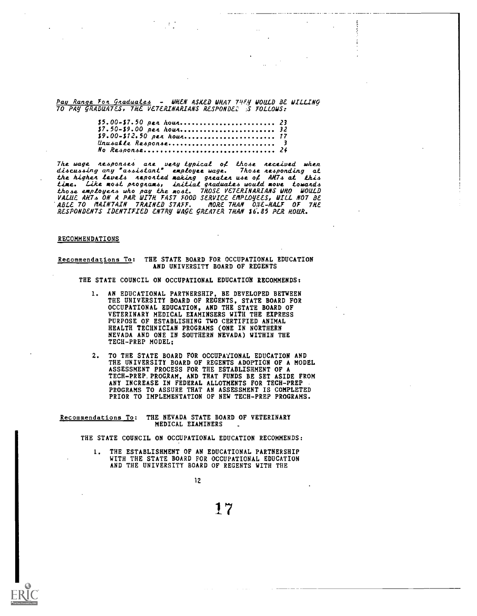Pay Range For Graduates - WHEN ASKED WHAT THEY WOULD BE WILLING 70 PAY gRADUATES, THE VETERINARIANS RESPOND& :S FOLLOWS:

| No Response 24 |  |
|----------------|--|

The wage responses are \_very typical of those received when discussing any "assistant" employee wage. Those responding at the higher levels reported making greater use of AHTs at this time. Like most programs, initial graduates would move towards those employens who pay the most. THOSE VETERINARIANS WHO WOULD VALUE ANT4 ON A PAR WITH FAST FOOD SERVICE EMPLOYEES, WILL NOT BE 'ABLE 70 MAINTAIN TRAINED STAFF. MORE THAN 0,7E -HALF OF The RESPONDENTS IDENTIFIED ENTRY mice gREATER THAN \$6'.85 PER HOUR.

#### RECOMMENDATIONS

## Recommendations To: THE STATE BOARD FOR OCCUPATIONAL EDUCATION AND UNIVERSITY BOARD OF REGENTS

THE STATE COUNCIL ON OCCUPATIONAL EDUCATION RECOMMENDS:

- AN EDUCATIONAL PARTNERSHIP, BE DEVELOPED BETWEEN THE UNIVERSITY BOARD OF REGENTS, STATE BOARD FOR OCCUPATIONAL EDUCATION, AND THE STATE BOARD OF VETERINARY MEDICAL EXAMINSERS WITH THE EXPRESS PURPOSE OF ESTABLISHING TWO CERTIFIED ANIMAL HEALTH TECHNICIAN PROGRAMS (ONE IN NORTHERN NEVADA AND ONE IN SOUTHERN NEVADA) WITHIN THE TECH-PREP MODEL;
- 2. TO THE STATE BOARD FOR OCCUPATIONAL EDUCATION AND THE UNIVERSITY BOARD OF REGENTS ADOPTION OF A MODEL ASSESSMENT PROCESS FOR THE ESTABLISHMENT OF A TECH-PREP.PROGRAM, AND THAT FUNDS BE SET ASIDE FROM ANY INCREASE IN FEDERAL ALLOTMENTS FOR TECH-PREP PROGRAMS TO ASSURE THAT AN ASSESSMENT IS COMPLETED PRIOR TO IMPLEMENTATION OF NEW TECH-PREP PROGRAMS.

Recommendations To: THE NEVADA STATE BOARD OF VETERINARY MEDICAL EXAMINERS

THE STATE COUNCIL ON OCCUPATIONAL EDUCATION RECOMMENDS:

THE ESTABLISHMENT OF AN EDUCATIONAL PARTNERSHIP WITH THE STATE BOARD FOR OCCUPATIONAL EDUCATION AND THE UNIVERSITY BOARD OF REGENTS WITH THE

12

17

 $\omega = 1/\omega$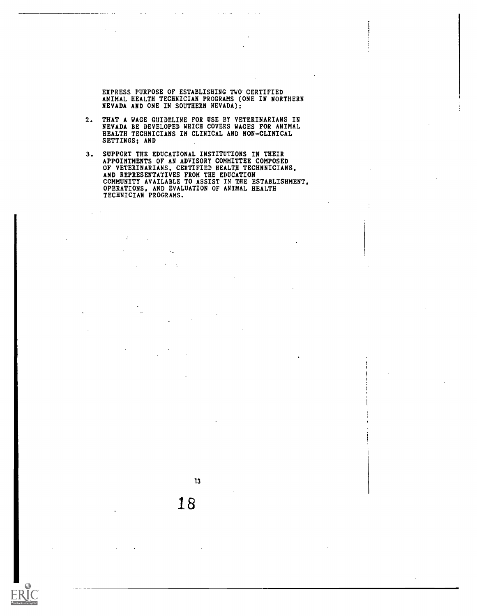EXPRESS PURPOSE OF ESTABLISHING TWO.CERTIFIED ANIMAL HEALTH TECHNICIAN PROGRAMS (ONE IN NORTHERN NEVADA AND ONE IN SOUTHERN NEVADA);

and a state

 $\alpha=1/2$ 

**Property** 

- 2. THAT A WAGE GUIDELINE FOR USE BY VETERINARIANS IN NEVADA BE DEVELOPED WHICH COVERS WAGES FOR ANIMAL HEALTH TECHNICIANS IN CLINICAL AND NON-CLINICAL SETTINGS; AND
- 3. SUPPORT THE EDUCATIONAL INSTITUTIONS IN THEIR APPOINTMENTS OF AN ADVISORY COMMITTEE COMPOSED OF VETERINARIANS, CERTIFIED HEALTH TECHNNICIANS, AND REPRESENTATIVES FROM THE EDUCATION COMMUNITY AVAILABLE TO ASSIST IN THE ESTABLISHMENT, OPERATIONS, AND EVALUATION OF ANIMAL HEALTH TECHNICIAN PROGRAMS.

 $\epsilon_{\rm m}$ 

 $\ddotsc$ 

÷

13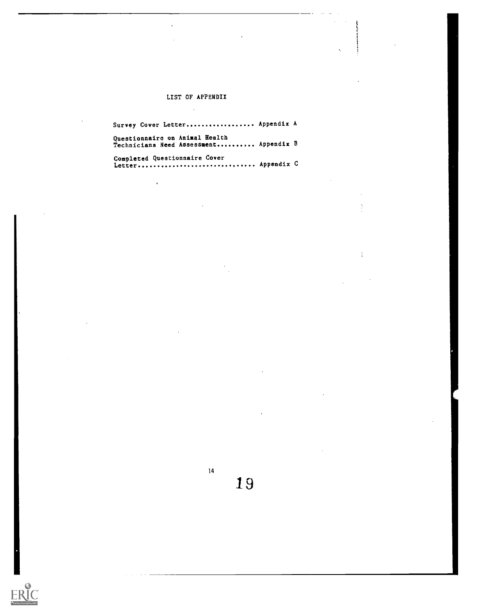# LIST OF APPENDIX  $\ddot{\phantom{a}}$

| Survey Cover Letter Appendix A                                           |  |
|--------------------------------------------------------------------------|--|
| Questionnaire on Animal Health<br>Technicians Need Assessment Appendix B |  |
| Completed Questionnaire Cover<br>Letter Appendix C                       |  |

 $14$   $19$ 

 $\frac{1}{4}$ 

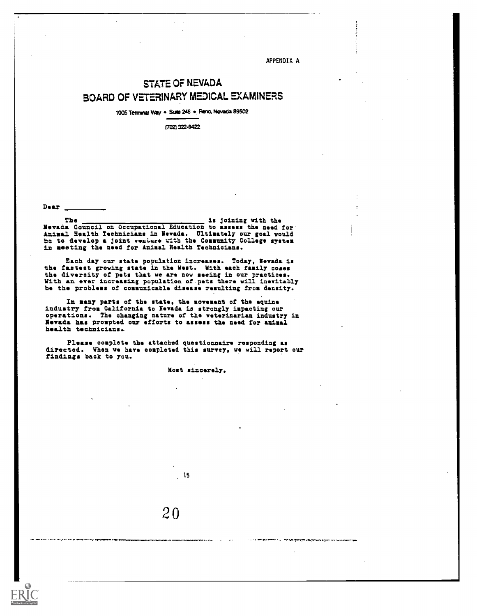APPENDIX A

. .

# STATE OF NEVADA BOARD OF VETERINARY MEDICAL EXAMINERS

1005 Terminal Way . Suite 246 . Reno, Nevada 89502

(702) 322-9422

Dear

The is joining with the Nevada Council on Occupational Education to assess the need for Animal Health Technicians in Nevada. Ultimately our goal would be to develop a joint venture with the Community College system in meeting the need for Animal Health Technicians.

Each day our state population increases. Today, Nevada is the fastest growing state in the West. With each family coxes the diversity of pets that we are now seeing in our practices. With an ever increasing population of.pets there vill inevitably be the problems of communicable disease resulting from density.

In many parts of the state, the sovesent of the equine industry from California to Nevada is strongly impacting our operations. The changing nature of the veterinarian industry in Nevada has prompted our efforts to assess the need for animal health technicians..

Please couplets the attached questionnaire responding as directed. When we have completed this survey, we will report our findings back to you.

Most sincerely,

15

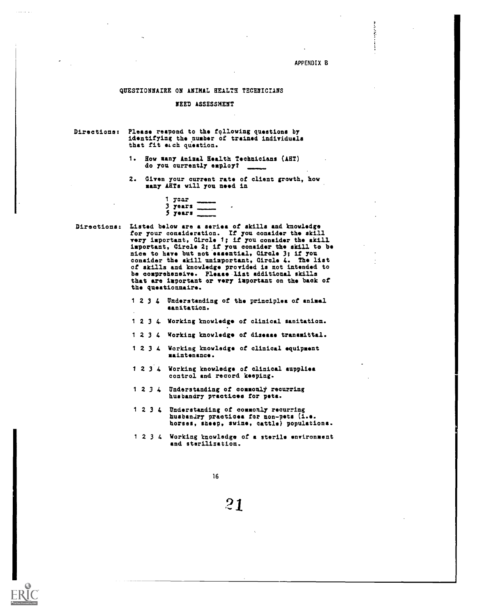**Barbara** 

#### QUESTIONNAIRE ON ANIMAL HEALTH TECHNICIANS

## NEED ASSESSMENT

| Directions: Please reapond to the following questions by |
|----------------------------------------------------------|
| identifying the number of trained individuals            |
| that fit each question.                                  |

- 1. How many Animal Health Technicians (ART) do you currently employ?
- 2. Given your current rate of client growth, how many ARTs will you need in

|    | <b>TRAP</b>  |  |
|----|--------------|--|
| э. | <b>TOATS</b> |  |
|    | ) Jears      |  |

Directions: Listed below are a series of skills and knowledge for your consideration. If you consider the skill very important, Circle 1; if you consider the skill important, Circle 2; if you consider the skill to be nice to have but not essential, Circle 3; if you consider the skill unimportant, Circle 4. The list of skills and knowledge provided is not intended to he comprehensive. Please list additional skills that are important or very important on the back of the questionnaire.

- <sup>1</sup> 2 3 4 Understanding of the principles of animal sanitation.
- <sup>1</sup> 2 3 4. Working knowledge of clinical sanitation.
- <sup>1</sup> 2 3 4 Working knowledge of disease transmittal.
- <sup>1</sup> 2 3 4 Working knowledge of clinical equipment maintenance.
- <sup>1</sup> 2 3'4 Working knowledge of clinical supplies control and record keeping.
- $1 2 3 4$  Understanding of commonly recurring husbandry practices for pets.
- 1 2 3 4 Understanding of commonly recurring husbandry practices for non-pets (i.e. horses, sheep, swine, cattle) populations.
- <sup>1</sup> 2 3 4 Working knowledge of a sterile environment and sterilization.

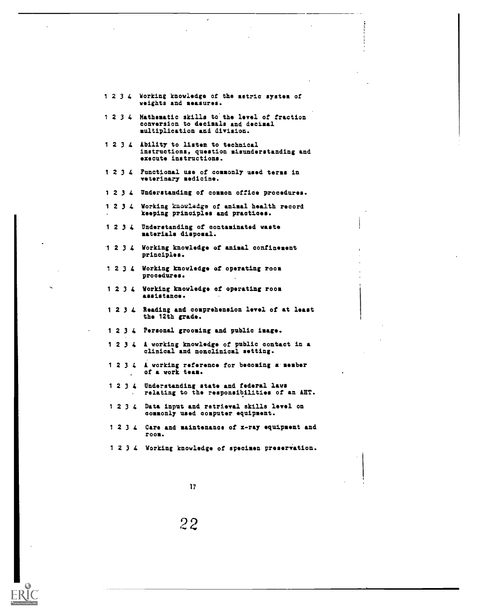|      | 1 2 3 4 Working knowledge of the metric system of<br>veights and measures.                                       |
|------|------------------------------------------------------------------------------------------------------------------|
| 1234 | Mathematic skills to the level of fraction<br>conversion to decimals and decimal<br>multiplication and division. |
| 1234 | Ability to listen to technical<br>instructions, question misunderstanding and<br>execute instructions.           |
| 1234 | Functional use of commonly used terms in<br>veterinary medicine.                                                 |
| 1234 | Understanding of common office procedures.                                                                       |
|      | 1 2 3 4 Working knowledge of animal health record<br>keeping principles and practices.                           |
|      | 1 2 3 4 Understanding of contaminated waste<br>materials disposal.                                               |
|      | 1 2 3 4 Working knowledge of animal confinement<br>principles.                                                   |
|      | 1 2 3 4 Working knowledge of operating room<br>procedures.                                                       |
|      | 1 2 3 4 Working knowledge of operating room<br>assistance.                                                       |
|      | 1 2 3 4 Reading and comprehension level of at least<br>the 12th grade.                                           |
|      | 1 2 3 4 Personal grooming and public image.                                                                      |
|      | 1 2 3 4 A working knowledge of public contact in a<br>clinical and nonclinical setting.                          |
| 1234 | A working reference for becoming a member<br>of a work team.                                                     |
| 1234 | Understanding state and federal laws<br>relating to the responsibilities of an AHT.                              |
| 1234 | Data input and retrieval skills level on<br>commonly used computer equipment.                                    |
|      | 1 2 3 4 Care and maintenance of x-ray equipment and<br>POOR.                                                     |
|      | 1 2 3 4 Working knowledge of specimen preservation.                                                              |
|      |                                                                                                                  |
|      | 17                                                                                                               |

 $\epsilon$ 

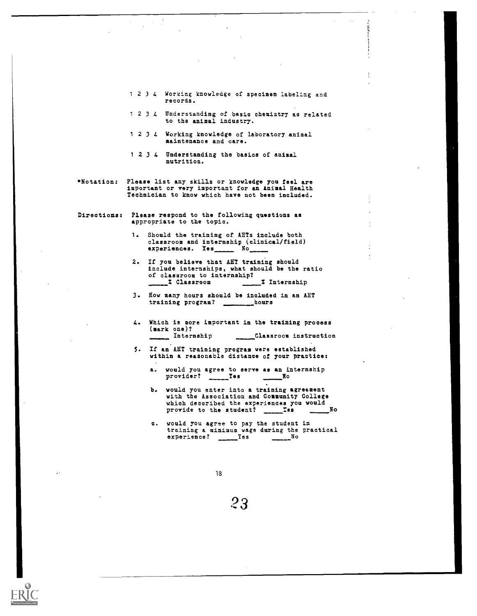- <sup>1</sup> 2 3 4 Working knowledge of specimen labeling and records.
- <sup>1</sup> 2 3 4 Understanding of basic chemistry as related to the animal industry.
- <sup>1</sup> 2 3 4 Working knowledge of laboratory animal maintenance and care.
- <sup>1</sup> 2 3 4 Understanding the basics of animal nutrition.
- Notation: Please list any skills or knowledge you feel are important or very important for an Animal Health Technician to know which have not been included.
- Directions: Please respond to the following questions as appropriate to the topic.
	- 1. Should the training of. AHTs include both classroom and internship (clinical/field) experiences. Yes \_\_\_\_\_ No\_
	- 2. If you believe that ANT training should include internships, what should be the ratio of classroom to internship?<br> **X** Classroom **7** Internship  $\overline{\phantom{a}}$  Classroom  $\overline{\phantom{a}}$
	- 3. Now many hours should be included in an AHT training program? \_\_\_\_\_\_\_\_\_\_\_hours
	- 4. Which is more important in the training process (mark one)?<br>
	Internship Classroom instruction
	- 5. If an ANT training program were established within a reasonable distance of your practice:
		- a. would you agree to serve as an internship provider? Ies 1998
		- b. would you enter into a training agreement with the Association and Community College which described the experiences you would<br>provide to the student? Tes No provide to the student? Yes No
		- c. would you agree to pay the student in training a minimum wage during the practical experience? Yes No

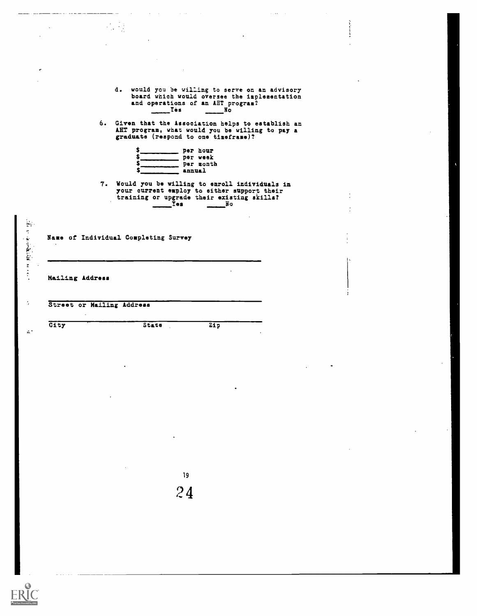|                           |                                                                                                                                                                                                            | i<br>I |
|---------------------------|------------------------------------------------------------------------------------------------------------------------------------------------------------------------------------------------------------|--------|
|                           |                                                                                                                                                                                                            |        |
|                           |                                                                                                                                                                                                            |        |
|                           | d. would you be willing to serve on an advisory<br>board which would oversee the implementation<br>and operations of an AHT program?<br>$\mathbf{Y}$ ès<br>$\overline{\mathbf{N}}$ $\overline{\mathbf{O}}$ |        |
|                           | 6. Given that the Association helps to establish an<br>AHT program, what would you be willing to pay a<br>graduate (respond to one timeframe)?                                                             |        |
|                           | annual                                                                                                                                                                                                     |        |
|                           | 7. Would you be willing to enroll individuals in<br>your current employ to either aupport their<br>training or upgrade their existing skills?<br>$\sqrt{100}$<br>$\overline{\mathbf{a}}$                   |        |
|                           |                                                                                                                                                                                                            |        |
|                           | Name of Individual Completing Survey                                                                                                                                                                       |        |
|                           |                                                                                                                                                                                                            |        |
|                           |                                                                                                                                                                                                            |        |
|                           |                                                                                                                                                                                                            |        |
|                           |                                                                                                                                                                                                            |        |
| Street or Mailing Address |                                                                                                                                                                                                            |        |
| $\cdot$<br>$G1t$ y        | 21p<br>State                                                                                                                                                                                               |        |
|                           |                                                                                                                                                                                                            |        |
|                           |                                                                                                                                                                                                            |        |
| Mailing Address           | $\bar{z}$                                                                                                                                                                                                  |        |
|                           |                                                                                                                                                                                                            |        |
|                           |                                                                                                                                                                                                            |        |
|                           |                                                                                                                                                                                                            |        |
|                           |                                                                                                                                                                                                            |        |
|                           |                                                                                                                                                                                                            |        |
|                           | 19                                                                                                                                                                                                         |        |
|                           | 24                                                                                                                                                                                                         |        |
|                           |                                                                                                                                                                                                            |        |
|                           |                                                                                                                                                                                                            |        |

 $\tau$  ,  $\tau$ 

 $\sim$   $\sim$ 

 $\sim$   $\sim$ 

ERIC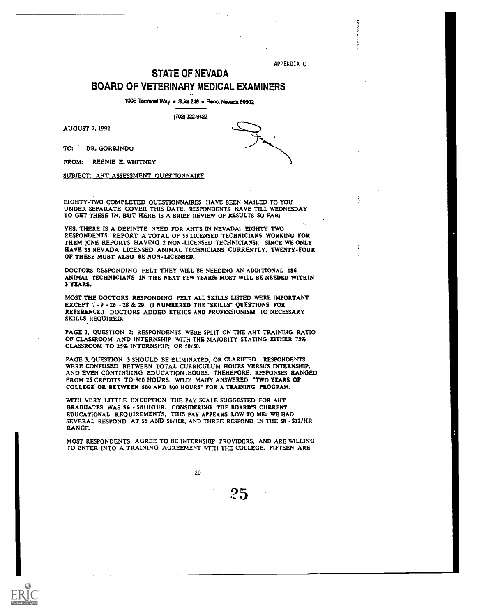APPENDIX C

 $\frac{1}{2}$ 

# STATE OF NEVADA BOARD OF VETERINARY MEDICAL EXAMINERS

1005 Terminal Way . Suite 246 . Reno, Nevada 89502

17021 322-9422

AUGUST 2, 1992

TO: DR. GORRINDO

FROM: REENIE E. WHITNEY

SUBJECT: AHT ASSESSMENT QUESTIONNAIRE

EIGHTY-TWO COMPLETED QUESTIONNAIRES HAVE BEEN MAILED TO YOU UNDER SEPARATE COVER THIS DATE. RESPONDENTS HAVE TILL WEDNESDAY TO GET THESE IN, BUT HERE IS A BRIEF REVIEW OF RESULTS SO FAR:

YES, THERE IS A DEFINITE NEED FOR AHT'S IN NEVADA! EIGHTY TWO RESPONDENTS REPORT A TOTAL OF 55 LICENSED TECHNICIANS WORKING FOR THEM (ONE REPORTS HAVING 2 NON-LICENSED TECHNICIANS). SINCE WE ONLY HAVE 33 NEVADA LICENSED ANIMAL TECHNICIANS CURRENTLY, TWENTY-FOUR OF THESE MUST ALSO BE NON-LICENSED.

DOCTORS RESPONDING FELT THEY WILL BE NEEDING AN ADDITIONAL 136 ANIMAL TECHNICIANS IN THE NEXT FEW YEARS; MOST WILL BE NEEDED WITHIN 3 YEARS.

MOST THE DOCTORS RESPONDING FELT ALL SKILLS LISTED WERE IMPORTANT EXCEPT 7 -9 - 26 - 28 & 29. (I NUMBERED THE 'SKILLS' QUESTIONS FOR REFERENCE.) DOCTORS ADDED ETHICS AND PROFESSIONISM TO NECESSARY SKILLS REQUIRED.

PAGE 3, QUESTION 2: RESPONDENTS WERE SPLIT ON THE AHT TRAINING RATIO OF CLASSROOM AND INTERNSHIP WITH THE MAJORITY STATING EITHER 75% CLASSROOM TO 25% INTERNSHIP; OR 50/50.

PAGE 3, QUESTION 3 SHOULD BE ELIMINATED, OR CLARIFIED: RESPONDENTS WERE CONFUSED BETWEEN TOTAL CURRICULUM HOURS VERSUS INTERNSHIP. AND EVEN CONTINUING EDUCATION .HOURS. THEREFORE. RESPONSES RANGED FROM 25 CREDITS TO.800 HOURS. WILD! MANY ANSWERED, 'TWO YEARS OF COLLEGE OR BETWEEN 500 AND 800 HOURS' FOR A TRAINING PROGRAM.

WITH VERY LITTLE EXCEPTION THE PAY SCALE SUGGESTED FOR AHT GRADUATES WAS S6 - S8/HOUR. CONSIDERING THE BOARD'S CURRENT EDUCATIONAL REQUIREMENTS. THIS PAY APPEARS LOW TO ME: WE HAD SEVERAL RESPOND AT \$5 AND S6/HR, AND THREE RESPOND IN THE \$8 - \$12/HR RANGE.

MOST RESPONDENTS AGREE TO BE INTERNSHIP PROVIDERS, AND ARE WILLING TO ENTER INTO A TRAINING AGREEMENT WITH THE COLLEGE. FIFTEEN ARE



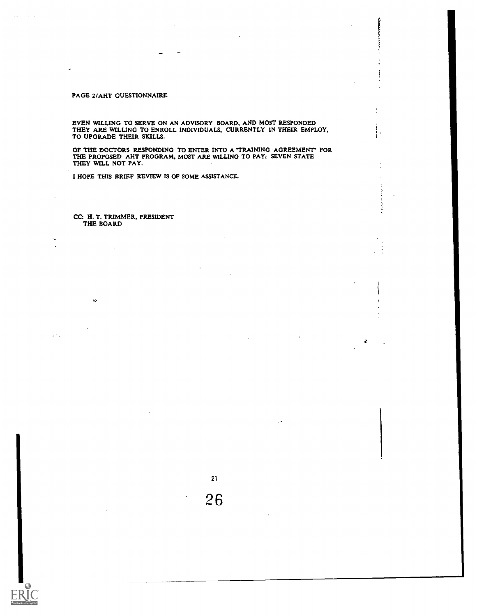## PAGE 2/AHT QUESTIONNAIRE

EVEN WILLING TO SERVE ON AN ADVISORY BOARD, AND MOST RESPONDED THEY ARE WILLING TO ENROLL INDIVIDUALS, CURRENTLY IN THEIR EMPLOY, TO UPGRADE THEIR SKILLS.

**ANGER DE** 

 $\ddot{\cdot}$ 

ţ.

OF THE DOCTORS RESPONDING TO ENTER INTO A "TRAINING AGREEMENT' FOR THE PROPOSED AHT PROGRAM, MOST ARE WILLING TO PAY: SEVEN STATE THEY WILL NOT PAY.

21

26

I HOPE THIS BRIEF REVIEW IS OF SOME ASSISTANCE.

CC: H. T. TRIMMER, PRESIDENT THE BOARD

 $\mathbb{R}^d$ 

÷,

 $\mathcal{L}^{\text{in}}(\mathcal{L})$